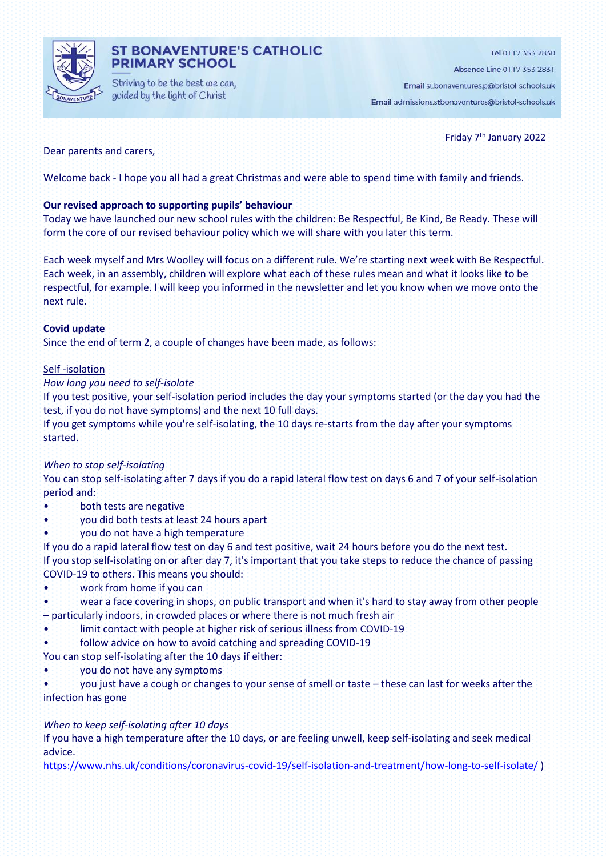

## **ST BONAVENTURE'S CATHOLIC PRIMARY SCHOOL**

Striving to be the best we can, guided by the light of Christ

Absence Line 0117 353 2831

Email st.bonaventures.p@bristol-schools.uk

Email admissions.stbonaventures@bristol-schools.uk

## Dear parents and carers,

Friday 7<sup>th</sup> January 2022

Welcome back - I hope you all had a great Christmas and were able to spend time with family and friends.

## **Our revised approach to supporting pupils' behaviour**

Today we have launched our new school rules with the children: Be Respectful, Be Kind, Be Ready. These will form the core of our revised behaviour policy which we will share with you later this term.

Each week myself and Mrs Woolley will focus on a different rule. We're starting next week with Be Respectful. Each week, in an assembly, children will explore what each of these rules mean and what it looks like to be respectful, for example. I will keep you informed in the newsletter and let you know when we move onto the next rule.

#### **Covid update**

Since the end of term 2, a couple of changes have been made, as follows:

#### Self -isolation

## *How long you need to self-isolate*

If you test positive, your self-isolation period includes the day your symptoms started (or the day you had the test, if you do not have symptoms) and the next 10 full days.

If you get symptoms while you're self-isolating, the 10 days re-starts from the day after your symptoms started.

## *When to stop self-isolating*

You can stop self-isolating after 7 days if you do a rapid lateral flow test on days 6 and 7 of your self-isolation period and:

- both tests are negative
- you did both tests at least 24 hours apart
- you do not have a high temperature

If you do a rapid lateral flow test on day 6 and test positive, wait 24 hours before you do the next test. If you stop self-isolating on or after day 7, it's important that you take steps to reduce the chance of passing COVID-19 to others. This means you should:

- work from home if you can
- wear a face covering in shops, on public transport and when it's hard to stay away from other people – particularly indoors, in crowded places or where there is not much fresh air
- limit contact with people at higher risk of serious illness from COVID-19
- follow advice on how to avoid catching and spreading COVID-19

You can stop self-isolating after the 10 days if either:

• you do not have any symptoms

• you just have a cough or changes to your sense of smell or taste – these can last for weeks after the infection has gone

## *When to keep self-isolating after 10 days*

If you have a high temperature after the 10 days, or are feeling unwell, keep self-isolating and seek medical advice.

<https://www.nhs.uk/conditions/coronavirus-covid-19/self-isolation-and-treatment/how-long-to-self-isolate/> )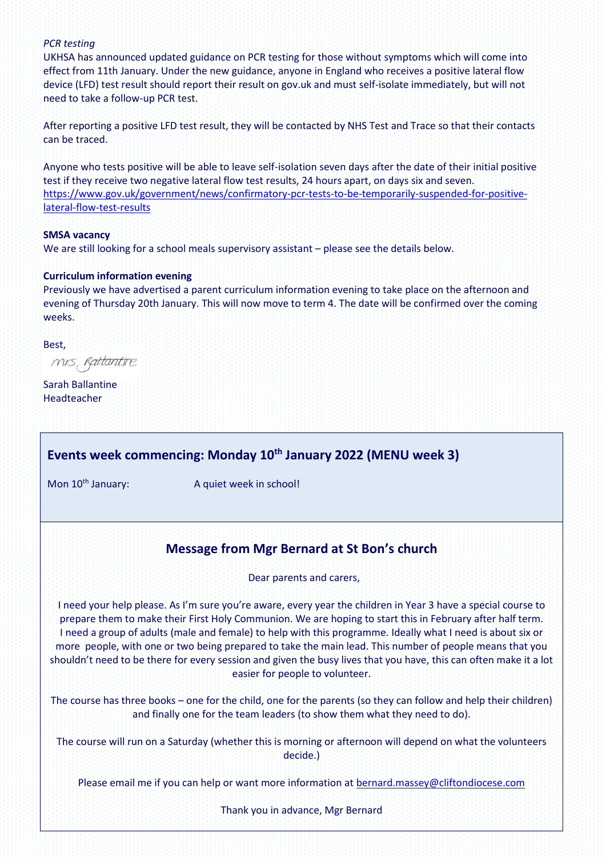## *PCR testing*

UKHSA has announced updated guidance on PCR testing for those without symptoms which will come into effect from 11th January. Under the new guidance, anyone in England who receives a positive lateral flow device (LFD) test result should report their result on gov.uk and must self-isolate immediately, but will not need to take a follow-up PCR test.

After reporting a positive LFD test result, they will be contacted by NHS Test and Trace so that their contacts can be traced.

Anyone who tests positive will be able to leave self-isolation seven days after the date of their initial positive test if they receive two negative lateral flow test results, 24 hours apart, on days six and seven. [https://www.gov.uk/government/news/confirmatory-pcr-tests-to-be-temporarily-suspended-for-positive](https://www.gov.uk/government/news/confirmatory-pcr-tests-to-be-temporarily-suspended-for-positive-lateral-flow-test-results)[lateral-flow-test-results](https://www.gov.uk/government/news/confirmatory-pcr-tests-to-be-temporarily-suspended-for-positive-lateral-flow-test-results)

#### **SMSA vacancy**

We are still looking for a school meals supervisory assistant – please see the details below.

#### **Curriculum information evening**

Previously we have advertised a parent curriculum information evening to take place on the afternoon and evening of Thursday 20th January. This will now move to term 4. The date will be confirmed over the coming weeks.

Best,

mis, Rattantire

Sarah Ballantine Headteacher

## **Events week commencing: Monday 10th January 2022 (MENU week 3)**

Mon 10<sup>th</sup> January: A quiet week in school!

## **Message from Mgr Bernard at St Bon's church**

#### Dear parents and carers,

I need your help please. As I'm sure you're aware, every year the children in Year 3 have a special course to prepare them to make their First Holy Communion. We are hoping to start this in February after half term. I need a group of adults (male and female) to help with this programme. Ideally what I need is about six or more people, with one or two being prepared to take the main lead. This number of people means that you shouldn't need to be there for every session and given the busy lives that you have, this can often make it a lot easier for people to volunteer.

The course has three books – one for the child, one for the parents (so they can follow and help their children) and finally one for the team leaders (to show them what they need to do).

The course will run on a Saturday (whether this is morning or afternoon will depend on what the volunteers decide.)

Please email me if you can help or want more information at **bernard**.massey@cliftondiocese.com

Thank you in advance, Mgr Bernard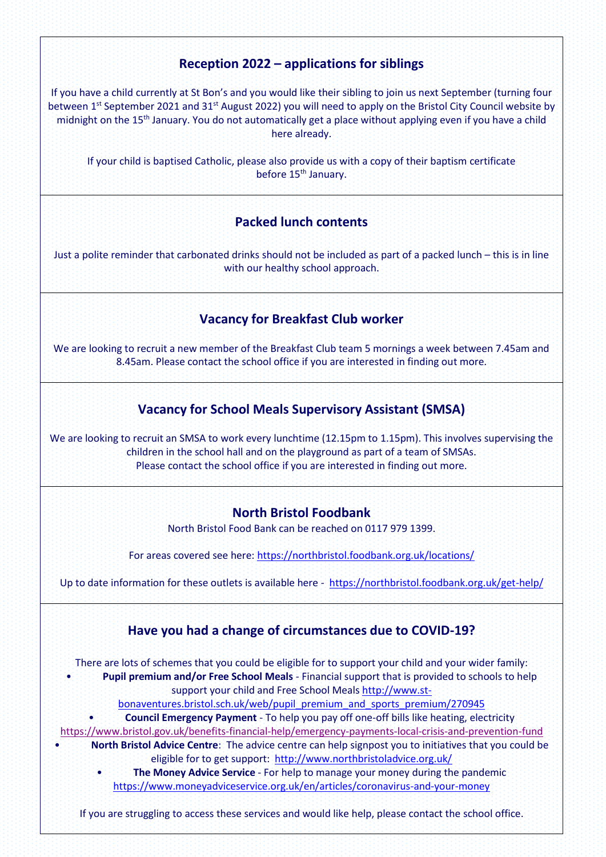# **Reception 2022 – applications for siblings**

If you have a child currently at St Bon's and you would like their sibling to join us next September (turning four between 1st September 2021 and 31st August 2022) you will need to apply on the Bristol City Council website by midnight on the 15<sup>th</sup> January. You do not automatically get a place without applying even if you have a child here already.

If your child is baptised Catholic, please also provide us with a copy of their baptism certificate before 15<sup>th</sup> January.

## **Packed lunch contents**

Just a polite reminder that carbonated drinks should not be included as part of a packed lunch – this is in line with our healthy school approach.

# **Vacancy for Breakfast Club worker**

We are looking to recruit a new member of the Breakfast Club team 5 mornings a week between 7.45am and 8.45am. Please contact the school office if you are interested in finding out more.

# **Vacancy for School Meals Supervisory Assistant (SMSA)**

We are looking to recruit an SMSA to work every lunchtime (12.15pm to 1.15pm). This involves supervising the children in the school hall and on the playground as part of a team of SMSAs. Please contact the school office if you are interested in finding out more.

## **North Bristol Foodbank**

North Bristol Food Bank can be reached on 0117 979 1399.

For areas covered see here[: https://northbristol.foodbank.org.uk/locations/](https://northbristol.foodbank.org.uk/locations/)

Up to date information for these outlets is available here -<https://northbristol.foodbank.org.uk/get-help/>



If you are struggling to access these services and would like help, please contact the school office.